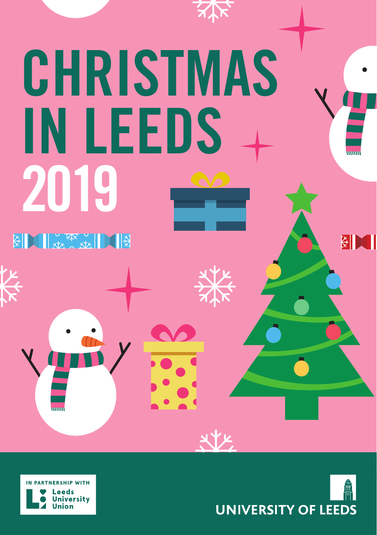



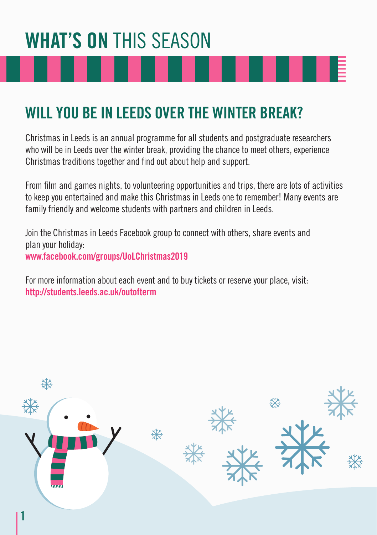# WHAT'S ON THIS SEASON

# WILL YOU BE IN LEEDS OVER THE WINTER BREAK?

Christmas in Leeds is an annual programme for all students and postgraduate researchers who will be in Leeds over the winter break, providing the chance to meet others, experience Christmas traditions together and find out about help and support.

From film and games nights, to volunteering opportunities and trips, there are lots of activities to keep you entertained and make this Christmas in Leeds one to remember! Many events are family friendly and welcome students with partners and children in Leeds.

Join the Christmas in Leeds Facebook group to connect with others, share events and plan your holiday: www.facebook.com/groups/UoLChristmas2019

For more information about each event and to buy tickets or reserve your place, visit: http://students.leeds.ac.uk/outofterm

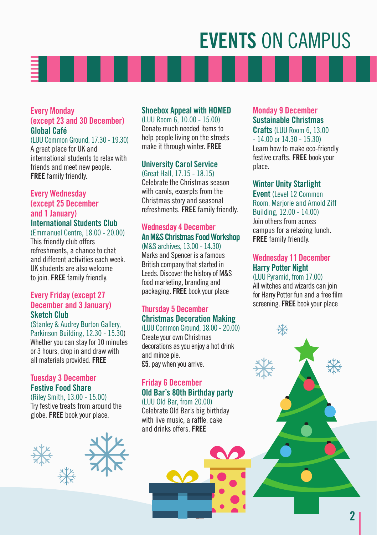# EVENTS ON CAMPUS

### Every Monday (except 23 and 30 December) Global Café

(LUU Common Ground, 17.30 - 19.30) A great place for UK and international students to relax with friends and meet new people. FREE family friendly.

### Every Wednesday (except 25 December and 1 January)

### International Students Club

(Emmanuel Centre, 18.00 - 20.00) This friendly club offers refreshments, a chance to chat and different activities each week. UK students are also welcome to join. **FREE** family friendly.

### Every Friday (except 27 December and 3 January) Sketch Club

(Stanley & Audrey Burton Gallery, Parkinson Building, 12.30 - 15.30) Whether you can stay for 10 minutes or 3 hours, drop in and draw with all materials provided. FREE

### Tuesday 3 December Festive Food Share

(Riley Smith, 13.00 - 15.00) Try festive treats from around the globe. FREE book your place.





### Shoebox Appeal with HOMED

(LUU Room 6, 10.00 - 15.00) Donate much needed items to help people living on the streets make it through winter. FREE

### University Carol Service

(Great Hall, 17.15 - 18.15)

Celebrate the Christmas season with carols, excerpts from the Christmas story and seasonal refreshments. FREE family friendly.

### Wednesday 4 December An M&S Christmas Food Workshop (M&S archives, 13.00 - 14.30)

Marks and Spencer is a famous British company that started in Leeds. Discover the history of M&S food marketing, branding and packaging. FREE book your place

### Thursday 5 December Christmas Decoration Making (LUU Common Ground, 18.00 - 20.00)

Create your own Christmas decorations as you enjoy a hot drink and mince pie. £5, pay when you arrive.

### Friday 6 December Old Bar's 80th Birthday party

(LUU Old Bar, from 20.00)

Celebrate Old Bar's big birthday with live music, a raffle, cake and drinks offers. FREE

### Monday 9 December Sustainable Christmas

Crafts (LUU Room 6, 13.00  $-14.00$  or  $14.30 - 15.30$ Learn how to make eco-friendly festive crafts. FREE book your place.

### Winter Unity Starlight

Event (Level 12 Common Room, Marjorie and Arnold Ziff Building, 12.00 - 14.00) Join others from across campus for a relaxing lunch. FREE family friendly.

### Wednesday 11 December Harry Potter Night

(LUU Pyramid, from 17.00) All witches and wizards can join for Harry Potter fun and a free film screening. FREE book your place

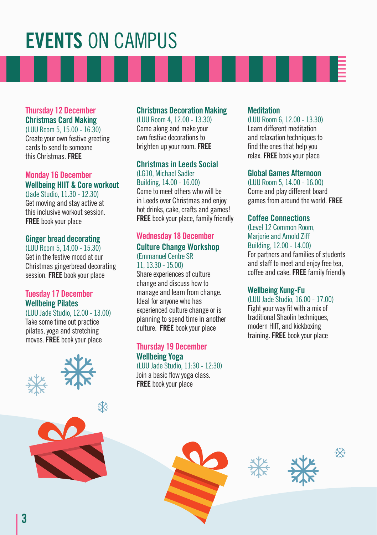# EVENTS ON CAMPUS

Thursday 12 December Christmas Card Making (LUU Room 5, 15.00 - 16.30)

Create your own festive greeting cards to send to someone this Christmas. FREE

### Monday 16 December Wellbeing HIIT & Core workout

(Jade Studio, 11.30 - 12.30) Get moving and stay active at this inclusive workout session. **FREE** book your place

## Ginger bread decorating

(LUU Room 5, 14.00 - 15.30) Get in the festive mood at our Christmas gingerbread decorating session. FREE book your place

### Tuesday 17 December Wellbeing Pilates

(LUU Jade Studio, 12.00 - 13.00) Take some time out practice

pilates, yoga and stretching moves. FREE book your place



### Christmas Decoration Making

(LUU Room 4, 12.00 - 13.30) Come along and make your own festive decorations to brighten up your room. FREE

### Christmas in Leeds Social (LG10, Michael Sadler

Building, 14.00 - 16.00) Come to meet others who will be in Leeds over Christmas and enjoy hot drinks, cake, crafts and games!

FREE book your place, family friendly

### Wednesday 18 December Culture Change Workshop (Emmanuel Centre SR

11, 13.30 - 15.00) Share experiences of culture change and discuss how to manage and learn from change. Ideal for anyone who has experienced culture change or is planning to spend time in another culture. FREE book your place

### Thursday 19 December Wellbeing Yoga (LUU Jade Studio, 11:30 - 12:30)

Join a basic flow yoga class. **FREE** book your place

### **Meditation**

(LUU Room 6, 12.00 - 13.30) Learn different meditation and relaxation techniques to find the ones that help you relax. FREE book your place

### Global Games Afternoon

(LUU Room 5, 14.00 - 16.00) Come and play different board games from around the world. FREE

### Coffee Connections

(Level 12 Common Room, Marjorie and Arnold Ziff Building, 12.00 - 14.00) For partners and families of students and staff to meet and enjoy free tea, coffee and cake. FREE family friendly

### Wellbeing Kung-Fu

(LUU Jade Studio, 16.00 - 17.00) Fight your way fit with a mix of traditional Shaolin techniques, modern HIIT, and kickboxing training. FREE book your place







業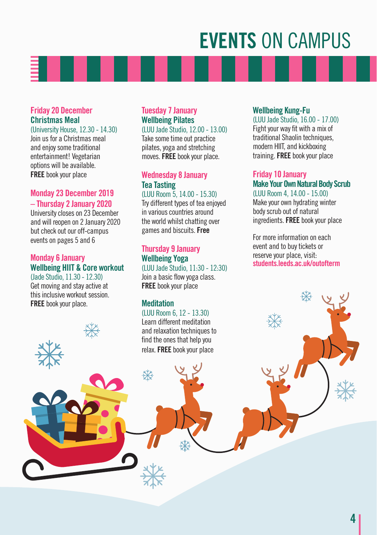# EVENTS ON CAMPUS

### Friday 20 December Christmas Meal

(University House, 12.30 - 14.30) Join us for a Christmas meal and enjoy some traditional entertainment! Vegetarian options will be available. FREE book your place

### Monday 23 December 2019 – Thursday 2 January 2020

University closes on 23 December and will reopen on 2 January 2020 but check out our off-campus events on pages 5 and 6

### Monday 6 January Wellbeing HIIT & Core workout (Jade Studio, 11.30 - 12.30)

Get moving and stay active at this inclusive workout session. FREE book your place.

### Tuesday 7 January Wellbeing Pilates (LUU Jade Studio, 12.00 - 13.00)

Take some time out practice pilates, yoga and stretching moves. FREE book your place.

### Wednesday 8 January Tea Tasting (LUU Room 5, 14.00 - 15.30)

Try different types of tea enjoyed in various countries around the world whilst chatting over games and biscuits. Free

### Thursday 9 January Wellbeing Yoga

(LUU Jade Studio, 11:30 - 12:30) Join a basic flow yoga class. FREE book your place

### **Meditation**

(LUU Room 6, 12 - 13.30) Learn different meditation and relaxation techniques to find the ones that help you relax. FREE book your place

### Wellbeing Kung-Fu

(LUU Jade Studio, 16.00 - 17.00) Fight your way fit with a mix of traditional Shaolin techniques, modern HIIT, and kickboxing training. FREE book your place

### Friday 10 January

Make Your Own Natural Body Scrub

(LUU Room 4, 14.00 - 15.00) Make your own hydrating winter body scrub out of natural ingredients. FREE book your place

For more information on each event and to buy tickets or reserve your place, visit: students.leeds.ac.uk/outofterm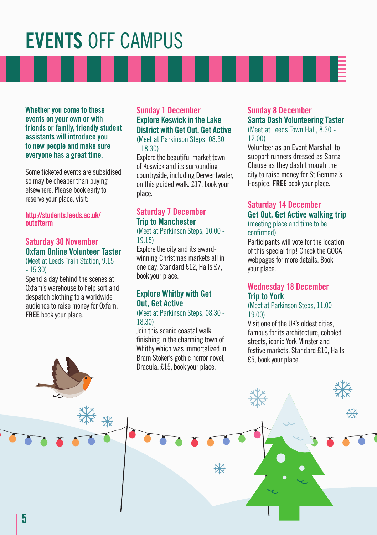# EVENTS OFF CAMPUS

Whether you come to these events on your own or with friends or family, friendly student assistants will introduce you to new people and make sure everyone has a great time.

Some ticketed events are subsidised so may be cheaper than buying elsewhere. Please book early to reserve your place, visit:

http://students.leeds.ac.uk/ outofterm

### Saturday 30 November Oxfam Online Volunteer Taster (Meet at Leeds Train Station, 9.15

- 15.30)

Spend a day behind the scenes at Oxfam's warehouse to help sort and despatch clothing to a worldwide audience to raise money for Oxfam. FREE book your place.

### Sunday 1 December Explore Keswick in the Lake District with Get Out, Get Active (Meet at Parkinson Steps, 08.30  $- 18.30$

Explore the beautiful market town of Keswick and its surrounding countryside, including Derwentwater, on this guided walk. £17, book your place.

### Saturday 7 December Trip to Manchester

(Meet at Parkinson Steps, 10.00 - 19.15)

Explore the city and its awardwinning Christmas markets all in one day. Standard £12, Halls £7, book your place.

### Explore Whitby with Get Out, Get Active

### (Meet at Parkinson Steps, 08.30 - 18.30)

Join this scenic coastal walk finishing in the charming town of Whitby which was immortalized in Bram Stoker's gothic horror novel, Dracula. £15, book your place.

### Sunday 8 December Santa Dash Volunteering Taster (Meet at Leeds Town Hall, 8.30 - 12.00)

Volunteer as an Event Marshall to support runners dressed as Santa Clause as they dash through the city to raise money for St Gemma's Hospice. FREE book your place.

### Saturday 14 December

### Get Out, Get Active walking trip (meeting place and time to be confirmed)

Participants will vote for the location of this special trip! Check the GOGA webpages for more details. Book your place.

### Wednesday 18 December Trip to York

### (Meet at Parkinson Steps, 11.00 - 19.00)

Visit one of the UK's oldest cities, famous for its architecture, cobbled streets, iconic York Minster and festive markets. Standard £10, Halls £5, book your place.

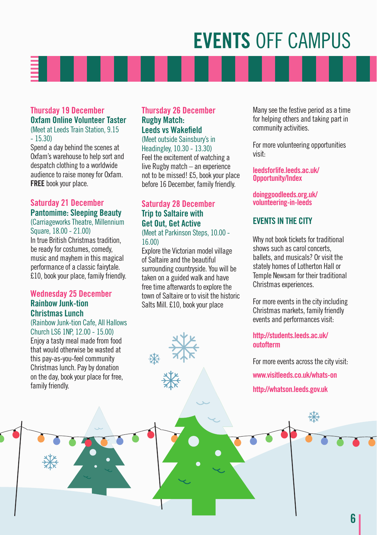# EVENTS OFF CAMPUS

### Thursday 19 December Oxfam Online Volunteer Taster (Meet at Leeds Train Station, 9.15

- 15.30) Spend a day behind the scenes at Oxfam's warehouse to help sort and despatch clothing to a worldwide audience to raise money for Oxfam.

FREE book your place.

### Saturday 21 December Pantomime: Sleeping Beauty

(Carriageworks Theatre, Millennium Square, 18.00 - 21.00)

In true British Christmas tradition, be ready for costumes, comedy, music and mayhem in this magical performance of a classic fairytale. £10, book your place, family friendly.

### Wednesday 25 December Rainbow Junk-tion Christmas Lunch

### (Rainbow Junk-tion Cafe, All Hallows

Church LS6 1NP, 12.00 - 15.00) Enjoy a tasty meal made from food that would otherwise be wasted at this pay-as-you-feel community Christmas lunch. Pay by donation on the day, book your place for free, family friendly.

### Thursday 26 December Rugby Match: Leeds vs Wakefield

(Meet outside Sainsbury's in Headingley, 10.30 - 13.30)

Feel the excitement of watching a live Rugby match – an experience not to be missed! £5, book your place before 16 December, family friendly.

### Saturday 28 December Trip to Saltaire with Get Out, Get Active (Meet at Parkinson Steps, 10.00 -

16.00)

Explore the Victorian model village of Saltaire and the beautiful surrounding countryside. You will be taken on a guided walk and have free time afterwards to explore the town of Saltaire or to visit the historic Salts Mill. £10, book your place



Many see the festive period as a time for helping others and taking part in community activities.

For more volunteering opportunities visit:

leedsforlife.leeds.ac.uk/ Opportunity/Index

doinggoodleeds.org.uk/ volunteering-in-leeds

### EVENTS IN THE CITY

Why not book tickets for traditional shows such as carol concerts, ballets, and musicals? Or visit the stately homes of Lotherton Hall or Temple Newsam for their traditional Christmas experiences.

For more events in the city including Christmas markets, family friendly events and performances visit:

http://students.leeds.ac.uk/ outofterm

For more events across the city visit:

www.visitleeds.co.uk/whats-on

http://whatson.leeds.gov.uk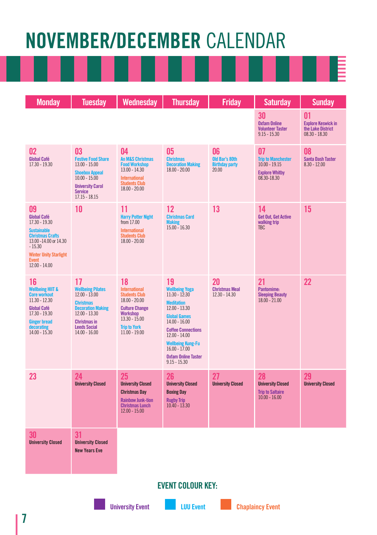# NOVEMBER/DECEMBER CALENDAR

| <b>Monday</b>                                                                                                                                                                                       | <b>Tuesday</b>                                                                                                                                                                        | <b>Wednesday</b>                                                                                                                                                               | <b>Thursday</b>                                                                                                                                                                                                                                                                 | <b>Friday</b>                                          | <b>Saturday</b>                                                                            | <b>Sunday</b>                                                           |
|-----------------------------------------------------------------------------------------------------------------------------------------------------------------------------------------------------|---------------------------------------------------------------------------------------------------------------------------------------------------------------------------------------|--------------------------------------------------------------------------------------------------------------------------------------------------------------------------------|---------------------------------------------------------------------------------------------------------------------------------------------------------------------------------------------------------------------------------------------------------------------------------|--------------------------------------------------------|--------------------------------------------------------------------------------------------|-------------------------------------------------------------------------|
|                                                                                                                                                                                                     |                                                                                                                                                                                       |                                                                                                                                                                                |                                                                                                                                                                                                                                                                                 |                                                        | 30<br><b>Oxfam Online</b><br><b>Volunteer Taster</b><br>$9.15 - 15.30$                     | 01<br><b>Explore Keswick in</b><br>the Lake District<br>$08.30 - 18.30$ |
| 02<br><b>Global Café</b><br>17.30 - 19.30                                                                                                                                                           | 03<br><b>Festive Food Share</b><br>$13.00 - 15.00$<br><b>Shoebox Appeal</b><br>$10.00 - 15.00$<br><b>University Carol</b><br><b>Service</b><br>$17.15 - 18.15$                        | 04<br><b>An M&amp;S Christmas</b><br><b>Food Workshop</b><br>$13.00 - 14.30$<br><b>International</b><br><b>Students Club</b><br>$18.00 - 20.00$                                | 05<br><b>Christmas</b><br><b>Decoration Making</b><br>$18.00 - 20.00$                                                                                                                                                                                                           | 06<br>Old Bar's 80th<br><b>Birthday party</b><br>20.00 | 07<br><b>Trip to Manchester</b><br>$10.00 - 19.15$<br><b>Explore Whitby</b><br>08.30-18.30 | 08<br><b>Santa Dash Taster</b><br>$8.30 - 12.00$                        |
| 09<br><b>Global Café</b><br>17.30 - 19.30<br><b>Sustainable</b><br><b>Christmas Crafts</b><br>13.00 -14.00 or 14.30<br>$-15.30$<br><b>Winter Unity Starlight</b><br><b>Event</b><br>$12.00 - 14.00$ | 10                                                                                                                                                                                    | 11<br><b>Harry Potter Night</b><br>from 17.00<br><b>International</b><br><b>Students Club</b><br>$18.00 - 20.00$                                                               | 12<br><b>Christmas Card</b><br><b>Making</b><br>$15.00 - 16.30$                                                                                                                                                                                                                 | 13                                                     | 14<br>Get Out, Get Active<br>walking trip<br><b>TBC</b>                                    | 15                                                                      |
| 16<br><b>Wellbeing HIIT &amp;</b><br><b>Core workout</b><br>$11.30 - 12.30$<br><b>Global Café</b><br>17.30 - 19.30<br><b>Ginger bread</b><br>decorating<br>$14.00 - 15.30$                          | 17<br><b>Wellbeing Pilates</b><br>$12.00 - 13.00$<br><b>Christmas</b><br><b>Decoration Making</b><br>$12.00 - 13.30$<br><b>Christmas in</b><br><b>Leeds Social</b><br>$14.00 - 16.00$ | 18<br><b>International</b><br><b>Students Club</b><br>$18.00 - 20.00$<br><b>Culture Change</b><br><b>Workshop</b><br>$13.30 - 15.00$<br><b>Trip to York</b><br>$11.00 - 19.00$ | 19<br><b>Wellbeing Yoga</b><br>$11:30 - 12:30$<br><b>Meditation</b><br>$12.00 - 13.30$<br><b>Global Games</b><br>$14.00 - 16.00$<br><b>Coffee Connections</b><br>$12.00 - 14.00$<br><b>Wellbeing Kung-Fu</b><br>$16.00 - 17.00$<br><b>Oxfam Online Taster</b><br>$9.15 - 15.30$ | 20<br><b>Christmas Meal</b><br>$12.30 - 14.30$         | 21<br>Pantomime:<br><b>Sleeping Beauty</b><br>$18.00 - 21.00$                              | 22                                                                      |
| 23                                                                                                                                                                                                  | 24<br><b>University Closed</b>                                                                                                                                                        | 25<br><b>University Closed</b><br><b>Christmas Dav</b><br><b>Rainbow Junk-tion</b><br><b>Christmas Lunch</b><br>$12.00 - 15.00$                                                | 26<br><b>University Closed</b><br><b>Boxing Day</b><br><b>Rugby Trip</b><br>$10.40 - 13.30$                                                                                                                                                                                     | 27<br><b>University Closed</b>                         | 28<br><b>University Closed</b><br><b>Trip to Saltaire</b><br>$10.00 - 16.00$               | 29<br><b>University Closed</b>                                          |
| 30<br><b>University Closed</b>                                                                                                                                                                      | 31<br><b>University Closed</b><br><b>New Years Eve</b>                                                                                                                                |                                                                                                                                                                                |                                                                                                                                                                                                                                                                                 |                                                        |                                                                                            |                                                                         |

### EVENT COLOUR KEY: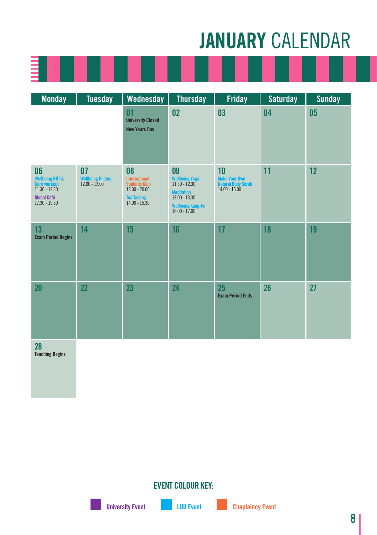# JANUARY CALENDAR

| <b>Monday</b>                                                                                                        | <b>Tuesday</b>                                    | Wednesday                                                                                                      | <b>Thursday</b>                                                                                                              | <b>Friday</b>                                                              | <b>Saturday</b> | <b>Sunday</b> |
|----------------------------------------------------------------------------------------------------------------------|---------------------------------------------------|----------------------------------------------------------------------------------------------------------------|------------------------------------------------------------------------------------------------------------------------------|----------------------------------------------------------------------------|-----------------|---------------|
|                                                                                                                      |                                                   | 01<br><b>University Closed</b><br><b>New Years Day</b>                                                         | 02                                                                                                                           | 03                                                                         | 04              | 05            |
| 06<br><b>Wellbeing HIIT &amp;</b><br><b>Core workout</b><br>$11.30 - 12.30$<br><b>Global Café</b><br>$17.30 - 19.30$ | 07<br><b>Wellbeing Pilates</b><br>$12.00 - 13.00$ | 08<br><b>International</b><br><b>Students Club</b><br>$18.00 - 20.00$<br><b>Tea Tasting</b><br>$14.00 - 15.30$ | 09<br><b>Wellbeing Yoga</b><br>$11.30 - 12.30$<br><b>Meditation</b><br>$12.00 - 13.30$<br>Wellbeing Kung-Fu<br>16.00 - 17.00 | 10<br><b>Make Your Own</b><br><b>Natural Body Scrub</b><br>$14.00 - 15.00$ | 11              | 12            |
| 13<br><b>Exam Period Begins</b>                                                                                      | 14                                                | 15                                                                                                             | 16                                                                                                                           | 17                                                                         | 18              | 19            |
| 20                                                                                                                   | 22                                                | 23                                                                                                             | 24                                                                                                                           | 25<br><b>Exam Period Ends</b>                                              | 26              | 27            |

28 Teaching Begins

### EVENT COLOUR KEY: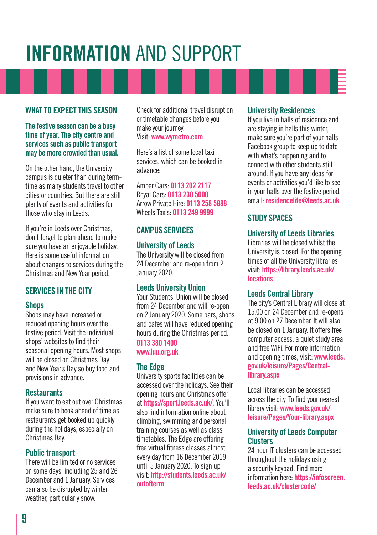# INFORMATION AND SUPPORT

### WHAT TO EXPECT THIS SEASON

### The festive season can be a busy time of year. The city centre and services such as public transport may be more crowded than usual.

On the other hand, the University campus is quieter than during termtime as many students travel to other cities or countries. But there are still plenty of events and activities for those who stay in Leeds.

If you're in Leeds over Christmas, don't forget to plan ahead to make sure you have an enjoyable holiday. Here is some useful information about changes to services during the Christmas and New Year period.

### SERVICES IN THE CITY

### **Shops**

Shops may have increased or reduced opening hours over the festive period. Visit the individual shops' websites to find their seasonal opening hours. Most shops will be closed on Christmas Day and New Year's Day so buy food and provisions in advance.

### **Restaurants**

If you want to eat out over Christmas, make sure to book ahead of time as restaurants get booked up quickly during the holidays, especially on Christmas Day.

### Public transport

There will be limited or no services on some days, including 25 and 26 December and 1 January. Services can also be disrupted by winter weather, particularly snow.

Check for additional travel disruption or timetable changes before you make your journey. Visit: www.wymetro.com

Here's a list of some local taxi services, which can be booked in advance:

Amber Cars: 0113 202 2117 Royal Cars: 0113 230 5000 Arrow Private Hire: 0113 258 5888 Wheels Taxis: 0113 249 9999

### CAMPUS SERVICES

### University of Leeds

The University will be closed from 24 December and re-open from 2 January 2020.

### Leeds University Union

Your Students' Union will be closed from 24 December and will re-open on 2 January 2020. Some bars, shops and cafes will have reduced opening hours during the Christmas period. 0113 380 1400 www.luu.org.uk

### The Edge

University sports facilities can be accessed over the holidays. See their opening hours and Christmas offer at https://sport.leeds.ac.uk/. You'll also find information online about climbing, swimming and personal training courses as well as class timetables. The Edge are offering free virtual fitness classes almost every day from 16 December 2019 until 5 January 2020. To sign up visit: http://students.leeds.ac.uk/ outofterm

### University Residences

If you live in halls of residence and are staying in halls this winter, make sure you're part of your halls Facebook group to keep up to date with what's happening and to connect with other students still around. If you have any ideas for events or activities you'd like to see in your halls over the festive period, email: residencelife@leeds.ac.uk

### **STUDY SPACES**

### University of Leeds Libraries

Libraries will be closed whilst the University is closed. For the opening times of all the University libraries visit: https://library.leeds.ac.uk/ locations

### Leeds Central Library

The city's Central Library will close at 15.00 on 24 December and re-opens at 9.00 on 27 December. It will also be closed on 1 January. It offers free computer access, a quiet study area and free WiFi. For more information and opening times, visit: www.leeds. gov.uk/leisure/Pages/Centrallibrary.aspx

Local libraries can be accessed across the city. To find your nearest library visit: www.leeds.gov.uk/ leisure/Pages/Your-library.aspx

### University of Leeds Computer **Clusters**

24 hour IT clusters can be accessed throughout the holidays using a security keypad. Find more information here: https://infoscreen. leeds.ac.uk/clustercode/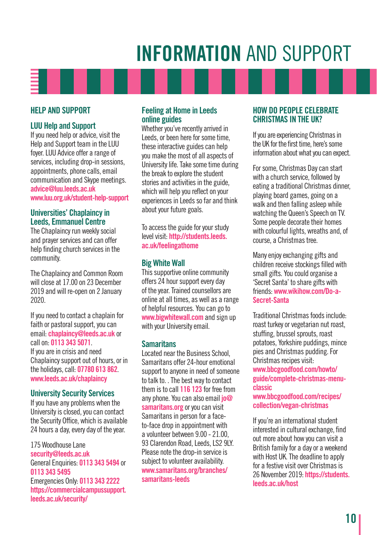# INFORMATION AND SUPPORT

### HELP AND SUPPORT

### LUU Help and Support

If you need help or advice, visit the Help and Support team in the LUU foyer. LUU Advice offer a range of services, including drop-in sessions. appointments, phone calls, email communication and Skype meetings. advice@luu.leeds.ac.uk www.luu.org.uk/student-help-support

### Universities' Chaplaincy in Leeds, Emmanuel Centre

The Chaplaincy run weekly social and prayer services and can offer help finding church services in the community.

The Chaplaincy and Common Room will close at 17.00 on 23 December 2019 and will re-open on 2 January 2020.

If you need to contact a chaplain for faith or pastoral support, you can email: chaplaincy@leeds.ac.uk or call on: 0113 343 5071. If you are in crisis and need Chaplaincy support out of hours, or in the holidays, call: 07780 613 862. www.leeds.ac.uk/chaplaincy

### University Security Services

If you have any problems when the University is closed, you can contact the Security Office, which is available 24 hours a day, every day of the year.

175 Woodhouse Lane security@leeds.ac.uk General Enquiries: 0113 343 5494 or 0113 343 5495 Emergencies Only: 0113 343 2222 https://commercialcampussupport. leeds.ac.uk/security/

### Feeling at Home in Leeds online guides

Whether you've recently arrived in Leeds, or been here for some time, these interactive guides can help you make the most of all aspects of University life. Take some time during the break to explore the student stories and activities in the guide, which will help you reflect on your experiences in Leeds so far and think about your future goals.

To access the guide for your study level visit: http://students.leeds. ac.uk/feelingathome

### Big White Wall

This supportive online community offers 24 hour support every day of the year. Trained counsellors are online at all times, as well as a range of helpful resources. You can go to www.bigwhitewall.com and sign up with your University email.

### **Samaritans**

Located near the Business School, Samaritans offer 24-hour emotional support to anyone in need of someone to talk to. . The best way to contact them is to call 116 123 for free from any phone. You can also email jo@ samaritans.org or you can visit Samaritans in person for a faceto-face drop in appointment with a volunteer between 9.00 - 21.00, 93 Clarendon Road, Leeds, LS2 9LY. Please note the drop-in service is subject to volunteer availability. www.samaritans.org/branches/ samaritans-leeds

### HOW DO PEOPLE CELEBRATE CHRISTMAS IN THE UK?

If you are experiencing Christmas in the UK for the first time, here's some information about what you can expect.

For some, Christmas Day can start with a church service, followed by eating a traditional Christmas dinner, playing board games, going on a walk and then falling asleep while watching the Queen's Speech on TV. Some people decorate their homes with colourful lights, wreaths and, of course, a Christmas tree.

Many enjoy exchanging gifts and children receive stockings filled with small gifts. You could organise a 'Secret Santa' to share gifts with friends: www.wikihow.com/Do-a-Secret-Santa

Traditional Christmas foods include: roast turkey or vegetarian nut roast, stuffing, brussel sprouts, roast potatoes, Yorkshire puddings, mince pies and Christmas pudding. For Christmas recipes visit:

www.bbcgoodfood.com/howto/ guide/complete-christmas-menuclassic

www.bbcgoodfood.com/recipes/ collection/vegan-christmas

If you're an international student interested in cultural exchange, find out more about how you can visit a British family for a day or a weekend with Host UK. The deadline to apply for a festive visit over Christmas is 26 November 2019: https://students. leeds.ac.uk/host